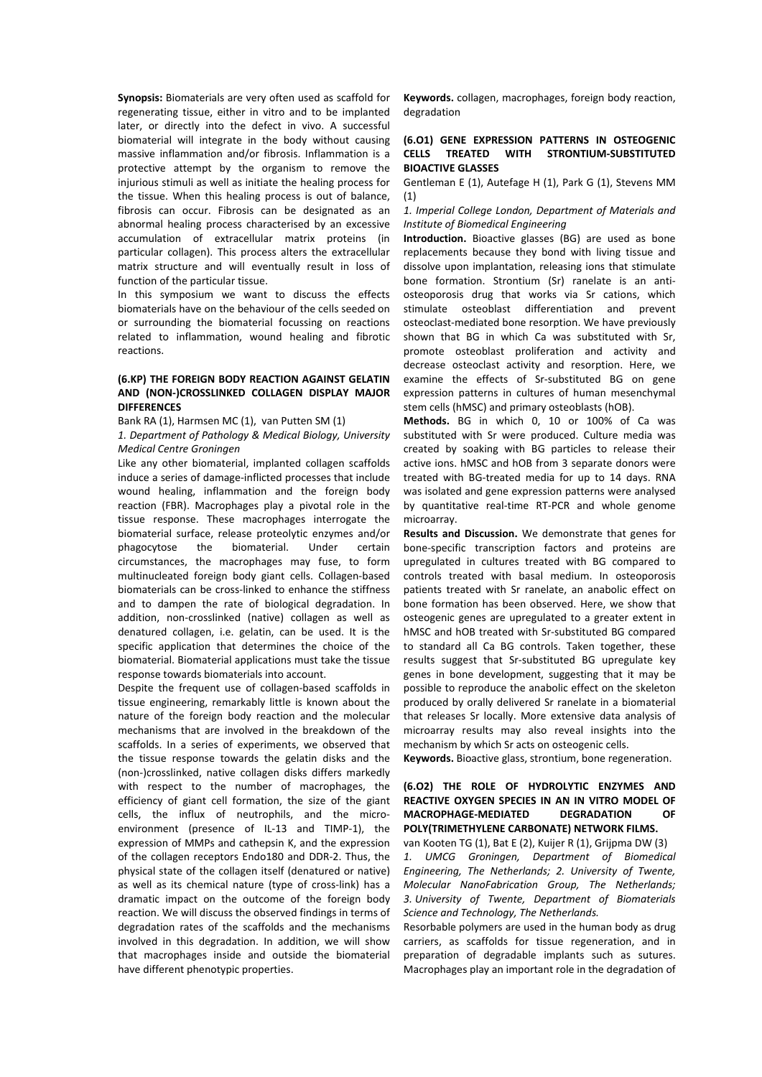**Synopsis:** Biomaterials are very often used as scaffold for regenerating tissue, either in vitro and to be implanted later, or directly into the defect in vivo. A successful biomaterial will integrate in the body without causing massive inflammation and/or fibrosis. Inflammation is a protective attempt by the organism to remove the injurious stimuli as well as initiate the healing process for the tissue. When this healing process is out of balance, fibrosis can occur. Fibrosis can be designated as an abnormal healing process characterised by an excessive accumulation of extracellular matrix proteins (in particular collagen). This process alters the extracellular matrix structure and will eventually result in loss of function of the particular tissue.

In this symposium we want to discuss the effects biomaterials have on the behaviour of the cells seeded on or surrounding the biomaterial focussing on reactions related to inflammation, wound healing and fibrotic reactions.

## **(6.KP) THE FOREIGN BODY REACTION AGAINST GELATIN AND (NON-)CROSSLINKED COLLAGEN DISPLAY MAJOR DIFFERENCES**

Bank RA (1), Harmsen MC (1), van Putten SM (1)

*1. Department of Pathology & Medical Biology, University Medical Centre Groningen*

Like any other biomaterial, implanted collagen scaffolds induce a series of damage-inflicted processes that include wound healing, inflammation and the foreign body reaction (FBR). Macrophages play a pivotal role in the tissue response. These macrophages interrogate the biomaterial surface, release proteolytic enzymes and/or phagocytose the biomaterial. Under certain circumstances, the macrophages may fuse, to form multinucleated foreign body giant cells. Collagen-based biomaterials can be cross-linked to enhance the stiffness and to dampen the rate of biological degradation. In addition, non-crosslinked (native) collagen as well as denatured collagen, i.e. gelatin, can be used. It is the specific application that determines the choice of the biomaterial. Biomaterial applications must take the tissue response towards biomaterials into account.

Despite the frequent use of collagen-based scaffolds in tissue engineering, remarkably little is known about the nature of the foreign body reaction and the molecular mechanisms that are involved in the breakdown of the scaffolds. In a series of experiments, we observed that the tissue response towards the gelatin disks and the (non-)crosslinked, native collagen disks differs markedly with respect to the number of macrophages, the efficiency of giant cell formation, the size of the giant cells, the influx of neutrophils, and the microenvironment (presence of IL-13 and TIMP-1), the expression of MMPs and cathepsin K, and the expression of the collagen receptors Endo180 and DDR-2. Thus, the physical state of the collagen itself (denatured or native) as well as its chemical nature (type of cross-link) has a dramatic impact on the outcome of the foreign body reaction. We will discuss the observed findings in terms of degradation rates of the scaffolds and the mechanisms involved in this degradation. In addition, we will show that macrophages inside and outside the biomaterial have different phenotypic properties.

**Keywords.** collagen, macrophages, foreign body reaction, degradation

## **(6.O1) GENE EXPRESSION PATTERNS IN OSTEOGENIC CELLS TREATED WITH STRONTIUM-SUBSTITUTED BIOACTIVE GLASSES**

Gentleman E (1), Autefage H (1), Park G (1), Stevens MM (1)

*1. Imperial College London, Department of Materials and Institute of Biomedical Engineering*

**Introduction.** Bioactive glasses (BG) are used as bone replacements because they bond with living tissue and dissolve upon implantation, releasing ions that stimulate bone formation. Strontium (Sr) ranelate is an antiosteoporosis drug that works via Sr cations, which stimulate osteoblast differentiation and prevent osteoclast-mediated bone resorption. We have previously shown that BG in which Ca was substituted with Sr, promote osteoblast proliferation and activity and decrease osteoclast activity and resorption. Here, we examine the effects of Sr-substituted BG on gene expression patterns in cultures of human mesenchymal stem cells (hMSC) and primary osteoblasts (hOB).

**Methods.** BG in which 0, 10 or 100% of Ca was substituted with Sr were produced. Culture media was created by soaking with BG particles to release their active ions. hMSC and hOB from 3 separate donors were treated with BG-treated media for up to 14 days. RNA was isolated and gene expression patterns were analysed by quantitative real-time RT-PCR and whole genome microarray.

**Results and Discussion.** We demonstrate that genes for bone-specific transcription factors and proteins are upregulated in cultures treated with BG compared to controls treated with basal medium. In osteoporosis patients treated with Sr ranelate, an anabolic effect on bone formation has been observed. Here, we show that osteogenic genes are upregulated to a greater extent in hMSC and hOB treated with Sr-substituted BG compared to standard all Ca BG controls. Taken together, these results suggest that Sr-substituted BG upregulate key genes in bone development, suggesting that it may be possible to reproduce the anabolic effect on the skeleton produced by orally delivered Sr ranelate in a biomaterial that releases Sr locally. More extensive data analysis of microarray results may also reveal insights into the mechanism by which Sr acts on osteogenic cells.

**Keywords.** Bioactive glass, strontium, bone regeneration.

## **(6.O2) THE ROLE OF HYDROLYTIC ENZYMES AND REACTIVE OXYGEN SPECIES IN AN IN VITRO MODEL OF MACROPHAGE-MEDIATED DEGRADATION OF POLY(TRIMETHYLENE CARBONATE) NETWORK FILMS.**

van Kooten TG (1), Bat E (2), Kuijer R (1), Grijpma DW (3) *1. UMCG Groningen, Department of Biomedical Engineering, The Netherlands; 2. University of Twente, Molecular NanoFabrication Group, The Netherlands; 3. University of Twente, Department of Biomaterials Science and Technology, The Netherlands.*

Resorbable polymers are used in the human body as drug carriers, as scaffolds for tissue regeneration, and in preparation of degradable implants such as sutures. Macrophages play an important role in the degradation of